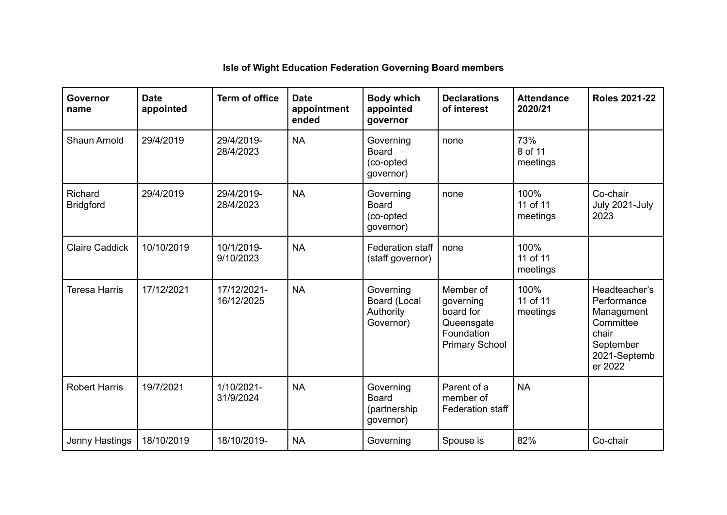| Governor<br>name            | <b>Date</b><br>appointed | <b>Term of office</b>     | <b>Date</b><br>appointment<br>ended | <b>Body which</b><br>appointed<br>governor              | <b>Declarations</b><br>of interest                                                       | <b>Attendance</b><br>2020/21 | <b>Roles 2021-22</b>                                                                                     |
|-----------------------------|--------------------------|---------------------------|-------------------------------------|---------------------------------------------------------|------------------------------------------------------------------------------------------|------------------------------|----------------------------------------------------------------------------------------------------------|
| Shaun Arnold                | 29/4/2019                | 29/4/2019-<br>28/4/2023   | <b>NA</b>                           | Governing<br><b>Board</b><br>(co-opted<br>governor)     | none                                                                                     | 73%<br>8 of 11<br>meetings   |                                                                                                          |
| Richard<br><b>Bridgford</b> | 29/4/2019                | 29/4/2019-<br>28/4/2023   | <b>NA</b>                           | Governing<br><b>Board</b><br>(co-opted<br>governor)     | none                                                                                     | 100%<br>11 of 11<br>meetings | Co-chair<br>July 2021-July<br>2023                                                                       |
| <b>Claire Caddick</b>       | 10/10/2019               | 10/1/2019-<br>9/10/2023   | <b>NA</b>                           | <b>Federation staff</b><br>(staff governor)             | none                                                                                     | 100%<br>11 of 11<br>meetings |                                                                                                          |
| <b>Teresa Harris</b>        | 17/12/2021               | 17/12/2021-<br>16/12/2025 | <b>NA</b>                           | Governing<br>Board (Local<br>Authority<br>Governor)     | Member of<br>governing<br>board for<br>Queensgate<br>Foundation<br><b>Primary School</b> | 100%<br>11 of 11<br>meetings | Headteacher's<br>Performance<br>Management<br>Committee<br>chair<br>September<br>2021-Septemb<br>er 2022 |
| <b>Robert Harris</b>        | 19/7/2021                | 1/10/2021-<br>31/9/2024   | <b>NA</b>                           | Governing<br><b>Board</b><br>(partnership)<br>governor) | Parent of a<br>member of<br><b>Federation staff</b>                                      | <b>NA</b>                    |                                                                                                          |
| Jenny Hastings              | 18/10/2019               | 18/10/2019-               | <b>NA</b>                           | Governing                                               | Spouse is                                                                                | 82%                          | Co-chair                                                                                                 |

## **Isle of Wight Education Federation Governing Board members**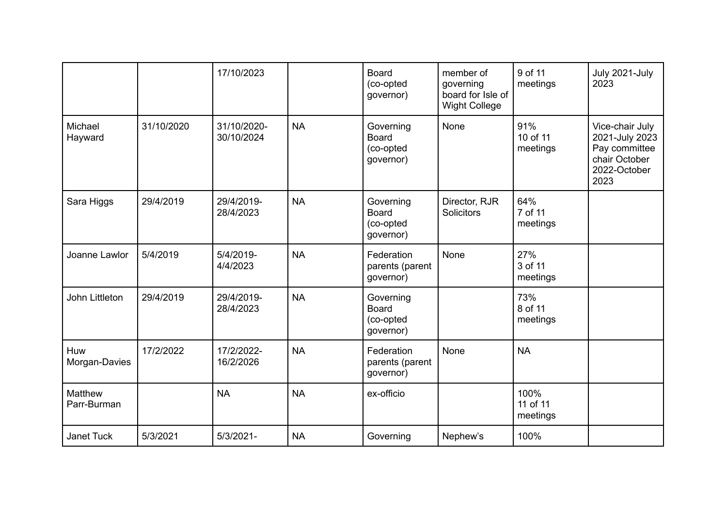|                               |            | 17/10/2023                |           | <b>Board</b><br>(co-opted<br>governor)              | member of<br>governing<br>board for Isle of<br><b>Wight College</b> | 9 of 11<br>meetings          | July 2021-July<br>2023                                                                      |
|-------------------------------|------------|---------------------------|-----------|-----------------------------------------------------|---------------------------------------------------------------------|------------------------------|---------------------------------------------------------------------------------------------|
| Michael<br>Hayward            | 31/10/2020 | 31/10/2020-<br>30/10/2024 | <b>NA</b> | Governing<br><b>Board</b><br>(co-opted<br>governor) | None                                                                | 91%<br>10 of 11<br>meetings  | Vice-chair July<br>2021-July 2023<br>Pay committee<br>chair October<br>2022-October<br>2023 |
| Sara Higgs                    | 29/4/2019  | 29/4/2019-<br>28/4/2023   | <b>NA</b> | Governing<br><b>Board</b><br>(co-opted<br>governor) | Director, RJR<br>Solicitors                                         | 64%<br>7 of 11<br>meetings   |                                                                                             |
| Joanne Lawlor                 | 5/4/2019   | 5/4/2019-<br>4/4/2023     | <b>NA</b> | Federation<br>parents (parent<br>governor)          | None                                                                | 27%<br>3 of 11<br>meetings   |                                                                                             |
| John Littleton                | 29/4/2019  | 29/4/2019-<br>28/4/2023   | <b>NA</b> | Governing<br><b>Board</b><br>(co-opted<br>governor) |                                                                     | 73%<br>8 of 11<br>meetings   |                                                                                             |
| Huw<br>Morgan-Davies          | 17/2/2022  | 17/2/2022-<br>16/2/2026   | <b>NA</b> | Federation<br>parents (parent<br>governor)          | None                                                                | <b>NA</b>                    |                                                                                             |
| <b>Matthew</b><br>Parr-Burman |            | <b>NA</b>                 | <b>NA</b> | ex-officio                                          |                                                                     | 100%<br>11 of 11<br>meetings |                                                                                             |
| Janet Tuck                    | 5/3/2021   | $5/3/2021 -$              | <b>NA</b> | Governing                                           | Nephew's                                                            | 100%                         |                                                                                             |